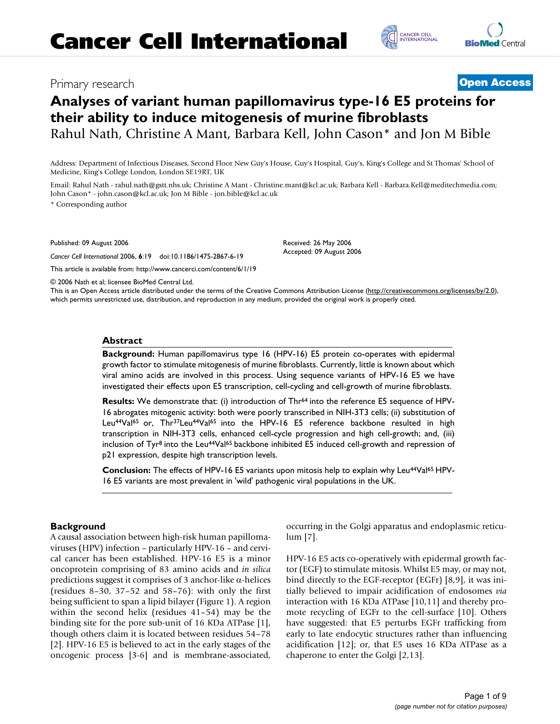## Primary research **[Open Access](http://www.biomedcentral.com/info/about/charter/)**



# **Analyses of variant human papillomavirus type-16 E5 proteins for their ability to induce mitogenesis of murine fibroblasts**

Rahul Nath, Christine A Mant, Barbara Kell, John Cason\* and Jon M Bible

Address: Department of Infectious Diseases, Second Floor New Guy's House, Guy's Hospital, Guy's, King's College and St Thomas' School of Medicine, King's College London, London SE19RT, UK

Email: Rahul Nath - rahul.nath@gstt.nhs.uk; Christine A Mant - Christine.mant@kcl.ac.uk; Barbara Kell - Barbara.Kell@meditechmedia.com; John Cason\* - john.cason@kcl.ac.uk; Jon M Bible - jon.bible@kcl.ac.uk

> Received: 26 May 2006 Accepted: 09 August 2006

\* Corresponding author

Published: 09 August 2006

*Cancer Cell International* 2006, **6**:19 doi:10.1186/1475-2867-6-19

[This article is available from: http://www.cancerci.com/content/6/1/19](http://www.cancerci.com/content/6/1/19)

© 2006 Nath et al; licensee BioMed Central Ltd.

This is an Open Access article distributed under the terms of the Creative Commons Attribution License [\(http://creativecommons.org/licenses/by/2.0\)](http://creativecommons.org/licenses/by/2.0), which permits unrestricted use, distribution, and reproduction in any medium, provided the original work is properly cited.

#### **Abstract**

**Background:** Human papillomavirus type 16 (HPV-16) E5 protein co-operates with epidermal growth factor to stimulate mitogenesis of murine fibroblasts. Currently, little is known about which viral amino acids are involved in this process. Using sequence variants of HPV-16 E5 we have investigated their effects upon E5 transcription, cell-cycling and cell-growth of murine fibroblasts.

**Results:** We demonstrate that: (i) introduction of Thr<sup>64</sup> into the reference E5 sequence of HPV-16 abrogates mitogenic activity: both were poorly transcribed in NIH-3T3 cells; (ii) substitution of Leu<sup>44</sup>Val<sup>65</sup> or, Thr<sup>37</sup>Leu<sup>44</sup>Val<sup>65</sup> into the HPV-16 E5 reference backbone resulted in high transcription in NIH-3T3 cells, enhanced cell-cycle progression and high cell-growth; and, (iii) inclusion of Tyr<sup>8</sup> into the Leu<sup>44</sup>Val<sup>65</sup> backbone inhibited E5 induced cell-growth and repression of p21 expression, despite high transcription levels.

**Conclusion:** The effects of HPV-16 E5 variants upon mitosis help to explain why Leu<sup>44</sup>Val<sup>65</sup> HPV-16 E5 variants are most prevalent in 'wild' pathogenic viral populations in the UK.

## **Background**

A causal association between high-risk human papillomaviruses (HPV) infection – particularly HPV-16 – and cervical cancer has been established. HPV-16 E5 is a minor oncoprotein comprising of 83 amino acids and *in silica* predictions suggest it comprises of 3 anchor-like α-helices (residues 8–30, 37–52 and 58–76): with only the first being sufficient to span a lipid bilayer (Figure 1). A region within the second helix (residues 41–54) may be the binding site for the pore sub-unit of 16 KDa ATPase [1], though others claim it is located between residues 54–78 [2]. HPV-16 E5 is believed to act in the early stages of the oncogenic process [3-6] and is membrane-associated, occurring in the Golgi apparatus and endoplasmic reticulum [7].

HPV-16 E5 acts co-operatively with epidermal growth factor (EGF) to stimulate mitosis. Whilst E5 may, or may not, bind directly to the EGF-receptor (EGFr) [8,9], it was initially believed to impair acidification of endosomes *via* interaction with 16 KDa ATPase [10,11] and thereby promote recycling of EGFr to the cell-surface [10]. Others have suggested: that E5 perturbs EGFr trafficking from early to late endocytic structures rather than influencing acidification [12]; or, that E5 uses 16 KDa ATPase as a chaperone to enter the Golgi [2,13].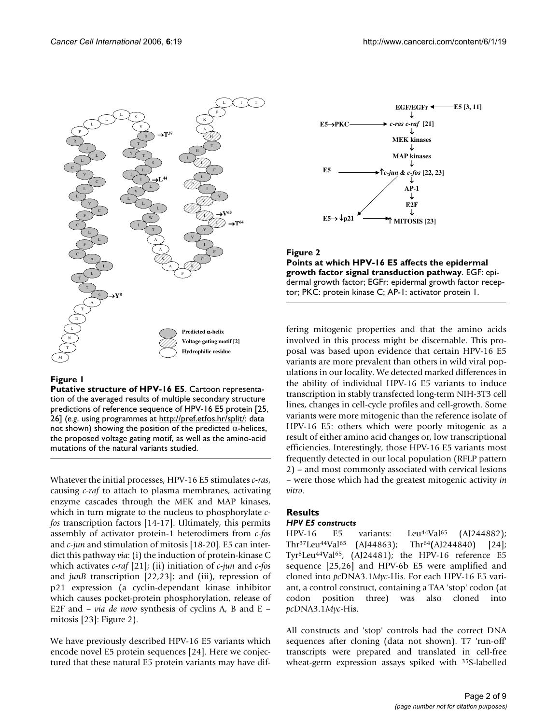

## **Figure 1**

**Putative structure of HPV-16 E5**. Cartoon representation of the averaged results of multiple secondary structure predictions of reference sequence of HPV-16 E5 protein [25, 26] (*e.g*. using programmes at [http://pref.etfos.hr/split/:](http://pref.etfos.hr/split/) data not shown) showing the position of the predicted  $α$ -helices, the proposed voltage gating motif, as well as the amino-acid mutations of the natural variants studied.

Whatever the initial processes, HPV-16 E5 stimulates *c-ras*, causing *c-raf* to attach to plasma membranes, activating enzyme cascades through the MEK and MAP kinases, which in turn migrate to the nucleus to phosphorylate *cfos* transcription factors [[14-](#page-7-0)17]. Ultimately, this permits assembly of activator protein-1 heterodimers from *c-fos* and *c-jun* and stimulation of mitosis [18-20]. E5 can interdict this pathway *via*: (i) the induction of protein-kinase C which activates *c-raf* [21]; (ii) initiation of *c-jun* and *c-fos* and *junB* transcription [22,23]; and (iii), repression of p21 expression (a cyclin-dependant kinase inhibitor which causes pocket-protein phosphorylation, release of E2F and – *via de novo* synthesis of cyclins A, B and E – mitosis [23]: Figure 2).

We have previously described HPV-16 E5 variants which encode novel E5 protein sequences [24]. Here we conjectured that these natural E5 protein variants may have dif-



**Figure 2 Points at which HPV-16 E5 affects the epidermal growth factor signal transduction pathway**. EGF: epidermal growth factor; EGFr: epidermal growth factor receptor; PKC: protein kinase C; AP-1: activator protein 1.

fering mitogenic properties and that the amino acids involved in this process might be discernable. This proposal was based upon evidence that certain HPV-16 E5 variants are more prevalent than others in wild viral populations in our locality. We detected marked differences in the ability of individual HPV-16 E5 variants to induce transcription in stably transfected long-term NIH-3T3 cell lines, changes in cell-cycle profiles and cell-growth. Some variants were more mitogenic than the reference isolate of HPV-16 E5: others which were poorly mitogenic as a result of either amino acid changes or, low transcriptional efficiencies. Interestingly, those HPV-16 E5 variants most frequently detected in our local population (RFLP pattern 2) – and most commonly associated with cervical lesions – were those which had the greatest mitogenic activity *in vitro*.

#### **Results** *HPV E5 constructs*

HPV-16 E5 variants: Leu<sup>44</sup>Val<sup>65</sup> (AJ244882); Thr37Leu44Val65 **(**AJ44863); Thr64**(**AJ244840) [24]; Tyr8Leu44Val65, (AJ24481); the HPV-16 reference E5 sequence [25,26] and HPV-6b E5 were amplified and cloned into *pc*DNA3.1*Myc*-His. For each HPV-16 E5 variant, a control construct, containing a TAA 'stop' codon (at codon position three) was also cloned into *pc*DNA3.1*Myc*-His.

All constructs and 'stop' controls had the correct DNA sequences after cloning (data not shown). T7 'run-off' transcripts were prepared and translated in cell-free wheat-germ expression assays spiked with 35S-labelled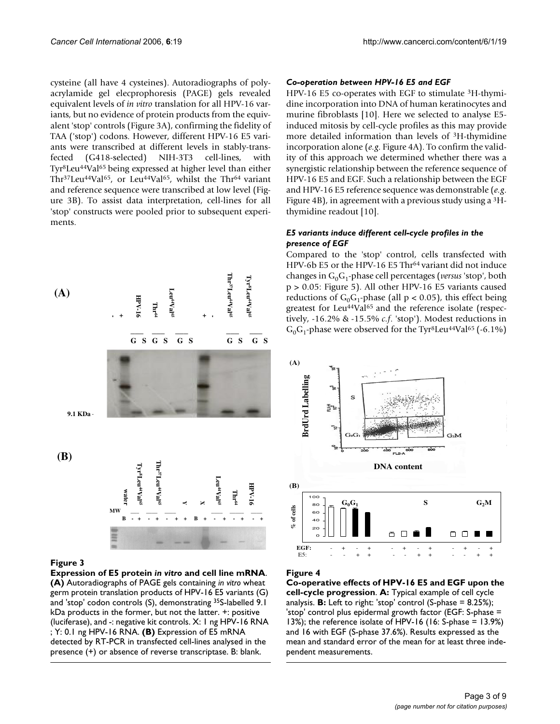cysteine (all have 4 cysteines). Autoradiographs of polyacrylamide gel elecprophoresis (PAGE) gels revealed equivalent levels of *in vitro* translation for all HPV-16 variants, but no evidence of protein products from the equivalent 'stop' controls (Figure 3A), confirming the fidelity of TAA ('stop') codons. However, different HPV-16 E5 variants were transcribed at different levels in stably-transfected (G418-selected) NIH-3T3 cell-lines, with Tyr8Leu44Val65 being expressed at higher level than either Thr<sup>37</sup>Leu<sup>44</sup>Val<sup>65</sup>, or Leu<sup>44</sup>Val<sup>65</sup>, whilst the Thr<sup>64</sup> variant and reference sequence were transcribed at low level (Figure 3B). To assist data interpretation, cell-lines for all 'stop' constructs were pooled prior to subsequent experiments.



## **Figure 3**

**Expression of E5 protein** *in vitro* **and cell line mRNA**. **(A)** Autoradiographs of PAGE gels containing *in vitro* wheat germ protein translation products of HPV-16 E5 variants (G) and 'stop' codon controls (S), demonstrating 35S-labelled 9.1 kDa products in the former, but not the latter. +: positive (luciferase), and -: negative kit controls. X: 1 ng HPV-16 RNA ; Y: 0.1 ng HPV-16 RNA. **(B)** Expression of E5 mRNA detected by RT-PCR in transfected cell-lines analysed in the

## *Co-operation between HPV-16 E5 and EGF*

HPV-16 E5 co-operates with EGF to stimulate 3H-thymidine incorporation into DNA of human keratinocytes and murine fibroblasts [10]. Here we selected to analyse E5 induced mitosis by cell-cycle profiles as this may provide more detailed information than levels of 3H-thymidine incorporation alone (*e.g*. Figure 4A). To confirm the validity of this approach we determined whether there was a synergistic relationship between the reference sequence of HPV-16 E5 and EGF. Such a relationship between the EGF and HPV-16 E5 reference sequence was demonstrable (*e.g*. Figure 4B), in agreement with a previous study using a 3Hthymidine readout [10].

## *E5 variants induce different cell-cycle profiles in the presence of EGF*

Compared to the 'stop' control, cells transfected with HPV-6b E5 or the HPV-16 E5 Thr<sup>64</sup> variant did not induce changes in G<sub>0</sub>G<sub>1</sub>-phase cell percentages (*versus* 'stop', both p > 0.05: Figure 5). All other HPV-16 E5 variants caused reductions of  $G_0G_1$ -phase (all p < 0.05), this effect being greatest for Leu<sup>44</sup>Val<sup>65</sup> and the reference isolate (respectively, -16.2% & -15.5% *c.f*. 'stop'). Modest reductions in  $G_0G_1$ -phase were observed for the Tyr<sup>8</sup>Leu<sup>44</sup>Val<sup>65</sup> (-6.1%)



## Figure 4

**Co-operative effects of HPV-16 E5 and EGF upon the cell-cycle progression**. **A:** Typical example of cell cycle analysis. **B:** Left to right: 'stop' control (S-phase = 8.25%); 'stop' control plus epidermal growth factor (EGF: S-phase = 13%); the reference isolate of HPV-16 (16: S-phase = 13.9%) and 16 with EGF (S-phase 37.6%). Results expressed as the mean and standard error of the mean for at least three independent measurements.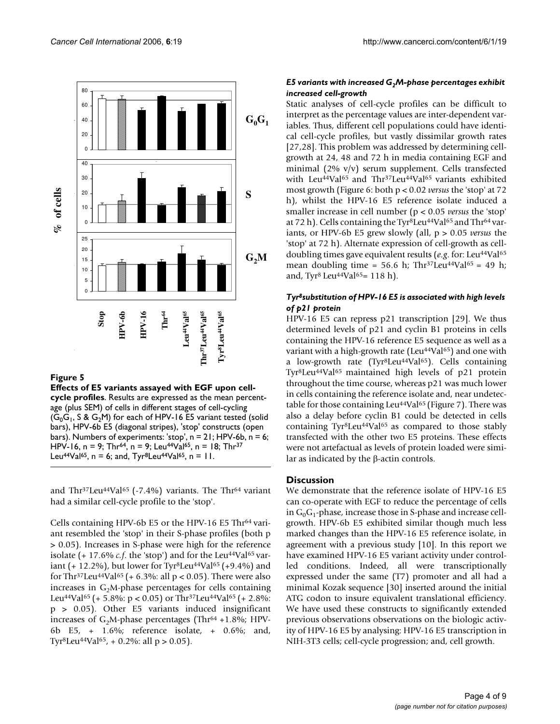

## **Figure 5**

**Effects of E5 variants assayed with EGF upon cellcycle profiles**. Results are expressed as the mean percentage (plus SEM) of cells in different stages of cell-cycling  $(G_0G_1, S & G_2M)$  for each of HPV-16 E5 variant tested (solid bars), HPV-6b E5 (diagonal stripes), 'stop' constructs (open bars). Numbers of experiments: 'stop', n = 21; HPV-6b, n = 6; HPV-16, n = 9; Thr<sup>64</sup>, n = 9; Leu<sup>44</sup>Val<sup>65</sup>, n = 18; Thr<sup>37</sup> Leu<sup>44</sup>Val<sup>65</sup>, n = 6; and, Tyr<sup>8</sup>Leu<sup>44</sup>Val<sup>65</sup>, n = 11.

and Thr<sup>37</sup>Leu<sup>44</sup>Val<sup>65</sup> (-7.4%) variants. The Thr<sup>64</sup> variant had a similar cell-cycle profile to the 'stop'.

Cells containing HPV-6b E5 or the HPV-16 E5 Thr<sup>64</sup> variant resembled the 'stop' in their S-phase profiles (both p > 0.05). Increases in S-phase were high for the reference isolate (+ 17.6% *c.f.* the 'stop') and for the Leu<sup>44</sup>Val<sup>65</sup> variant (+ 12.2%), but lower for Tyr<sup>8</sup>Leu<sup>44</sup>Val<sup>65</sup> (+9.4%) and for Thr<sup>37</sup>Leu<sup>44</sup>Val<sup>65</sup> (+ 6.3%: all p < 0.05). There were also increases in  $G_2M$ -phase percentages for cells containing Leu<sup>44</sup>Val<sup>65</sup> (+ 5.8%: p < 0.05) or Thr<sup>37</sup>Leu<sup>44</sup>Val<sup>65</sup> (+ 2.8%: p > 0.05). Other E5 variants induced insignificant increases of  $G_2M$ -phase percentages (Thr<sup>64</sup> +1.8%; HPV-6b E5, + 1.6%; reference isolate, + 0.6%; and, Tyr<sup>8</sup>Leu<sup>44</sup>Val<sup>65</sup>, + 0.2%: all p > 0.05).

## *E5 variants with increased G2M-phase percentages exhibit increased cell-growth*

Static analyses of cell-cycle profiles can be difficult to interpret as the percentage values are inter-dependent variables. Thus, different cell populations could have identical cell-cycle profiles, but vastly dissimilar growth rates [27,28]. This problem was addressed by determining cellgrowth at 24, 48 and 72 h in media containing EGF and minimal (2% v/v) serum supplement. Cells transfected with Leu<sup>44</sup>Val<sup>65</sup> and Thr<sup>37</sup>Leu<sup>44</sup>Val<sup>65</sup> variants exhibited most growth (Figure 6: both p < 0.02 *versus* the 'stop' at 72 h), whilst the HPV-16 E5 reference isolate induced a smaller increase in cell number (p < 0.05 *versus* the 'stop' at 72 h). Cells containing the Tyr<sup>8</sup>Leu<sup>44</sup>Val<sup>65</sup> and Thr<sup>64</sup> variants, or HPV-6b E5 grew slowly (all, p > 0.05 *versus* the 'stop' at 72 h). Alternate expression of cell-growth as celldoubling times gave equivalent results (e.g. for: Leu<sup>44</sup>Val<sup>65</sup> mean doubling time = 56.6 h; Thr<sup>37</sup>Leu<sup>44</sup>Val<sup>65</sup> = 49 h; and, Tyr8 Leu44Val65= 118 h).

## *Tyr8substitution of HPV-16 E5 is associated with high levels of p21 protein*

HPV-16 E5 can repress p21 transcription [29]. We thus determined levels of p21 and cyclin B1 proteins in cells containing the HPV-16 reference E5 sequence as well as a variant with a high-growth rate (Leu $44$ Va $165$ ) and one with a low-growth rate (Tyr<sup>8</sup>Leu<sup>44</sup>Val<sup>65</sup>). Cells containing Tyr8Leu44Val65 maintained high levels of p21 protein throughout the time course, whereas p21 was much lower in cells containing the reference isolate and, near undetectable for those containing Leu<sup>44</sup>Val<sup>65</sup> (Figure 7). There was also a delay before cyclin B1 could be detected in cells containing  $Tyr<sup>8</sup>Leu<sup>44</sup>Val<sup>65</sup>$  as compared to those stably transfected with the other two E5 proteins. These effects were not artefactual as levels of protein loaded were similar as indicated by the β-actin controls.

## **Discussion**

We demonstrate that the reference isolate of HPV-16 E5 can co-operate with EGF to reduce the percentage of cells in  $G_0G_1$ -phase, increase those in S-phase and increase cellgrowth. HPV-6b E5 exhibited similar though much less marked changes than the HPV-16 E5 reference isolate, in agreement with a previous study [10]. In this report we have examined HPV-16 E5 variant activity under controlled conditions. Indeed, all were transcriptionally expressed under the same (T7) promoter and all had a minimal Kozak sequence [30] inserted around the initial ATG codon to insure equivalent translational efficiency. We have used these constructs to significantly extended previous observations observations on the biologic activity of HPV-16 E5 by analysing: HPV-16 E5 transcription in NIH-3T3 cells; cell-cycle progression; and, cell growth.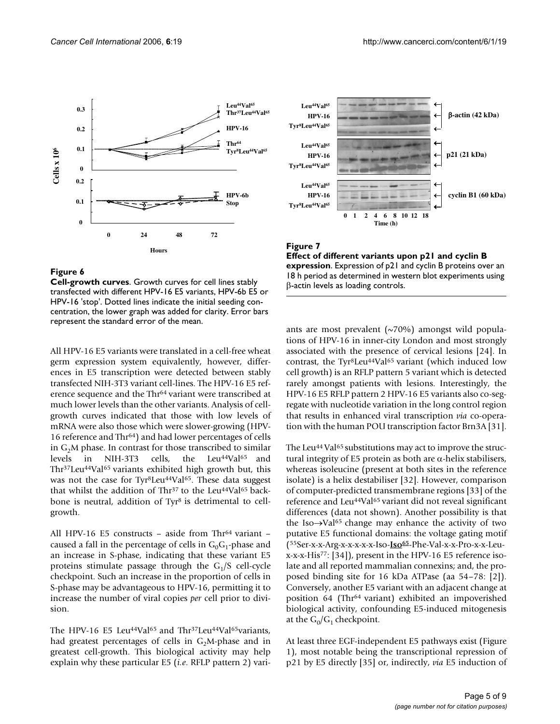

## **Figure 6**

**Cell-growth curves**. Growth curves for cell lines stably transfected with different HPV-16 E5 variants, HPV-6b E5 or HPV-16 'stop'. Dotted lines indicate the initial seeding concentration, the lower graph was added for clarity. Error bars represent the standard error of the mean.

All HPV-16 E5 variants were translated in a cell-free wheat germ expression system equivalently, however, differences in E5 transcription were detected between stably transfected NIH-3T3 variant cell-lines. The HPV-16 E5 reference sequence and the Thr64 variant were transcribed at much lower levels than the other variants. Analysis of cellgrowth curves indicated that those with low levels of mRNA were also those which were slower-growing (HPV-16 reference and Thr64) and had lower percentages of cells in G<sub>2</sub>M phase. In contrast for those transcribed to similar levels in NIH-3T3 cells, the Leu<sup>44</sup>Val<sup>65</sup> and the Leu<sup>44</sup>Val<sup>65</sup> and Thr<sup>37</sup>Leu<sup>44</sup>Val<sup>65</sup> variants exhibited high growth but, this was not the case for Tyr<sup>8</sup>Leu<sup>44</sup>Val<sup>65</sup>. These data suggest that whilst the addition of Thr<sup>37</sup> to the Leu<sup>44</sup>Val<sup>65</sup> backbone is neutral, addition of Tyr<sup>8</sup> is detrimental to cellgrowth.

All HPV-16 E5 constructs - aside from Thr<sup>64</sup> variant caused a fall in the percentage of cells in  $G_0G_1$ -phase and an increase in S-phase, indicating that these variant E5 proteins stimulate passage through the  $G_1/S$  cell-cycle checkpoint. Such an increase in the proportion of cells in S-phase may be advantageous to HPV-16, permitting it to increase the number of viral copies *per* cell prior to division.

The HPV-16 E5 Leu<sup>44</sup>Val<sup>65</sup> and Thr<sup>37</sup>Leu<sup>44</sup>Val<sup>65</sup>variants, had greatest percentages of cells in  $G_2M$ -phase and in greatest cell-growth. This biological activity may help explain why these particular E5 (*i.e*. RFLP pattern 2) vari-



## Figure 7 **Effect of different variants upon p21 and cyclin B expression**. Expression of p21 and cyclin B proteins over an 18 h period as determined in western blot experiments using

β-actin levels as loading controls.

ants are most prevalent  $(\sim 70\%)$  amongst wild populations of HPV-16 in inner-city London and most strongly associated with the presence of cervical lesions [24]. In contrast, the Tyr<sup>8</sup>Leu<sup>44</sup>Val<sup>65</sup> variant (which induced low cell growth) is an RFLP pattern 5 variant which is detected rarely amongst patients with lesions. Interestingly, the HPV-16 E5 RFLP pattern 2 HPV-16 E5 variants also co-segregate with nucleotide variation in the long control region that results in enhanced viral transcription *via* co-operation with the human POU transcription factor Brn3A [31].

The Leu<sup>44</sup> Val<sup>65</sup> substitutions may act to improve the structural integrity of E5 protein as both are α-helix stabilisers, whereas isoleucine (present at both sites in the reference isolate) is a helix destabiliser [32]. However, comparison of computer-predicted transmembrane regions [33] of the reference and Leu<sup>44</sup>Val<sup>65</sup> variant did not reveal significant differences (data not shown). Another possibility is that the Iso→Val65 change may enhance the activity of two putative E5 functional domains: the voltage gating motif (55Ser-x-x-Arg-x-x-x-x-x-Iso-**Iso65**-Phe-Val-x-x-Pro-x-x-Leux-x-x-His77: [34]), present in the HPV-16 E5 reference isolate and all reported mammalian connexins; and, the proposed binding site for 16 kDa ATPase (aa 54–78: [2]). Conversely, another E5 variant with an adjacent change at position 64 (Thr<sup>64</sup> variant) exhibited an impoverished biological activity, confounding E5-induced mitogenesis at the  $G_0/G_1$  checkpoint.

At least three EGF-independent E5 pathways exist (Figure 1), most notable being the transcriptional repression of p21 by E5 directly [35] or, indirectly, *via* E5 induction of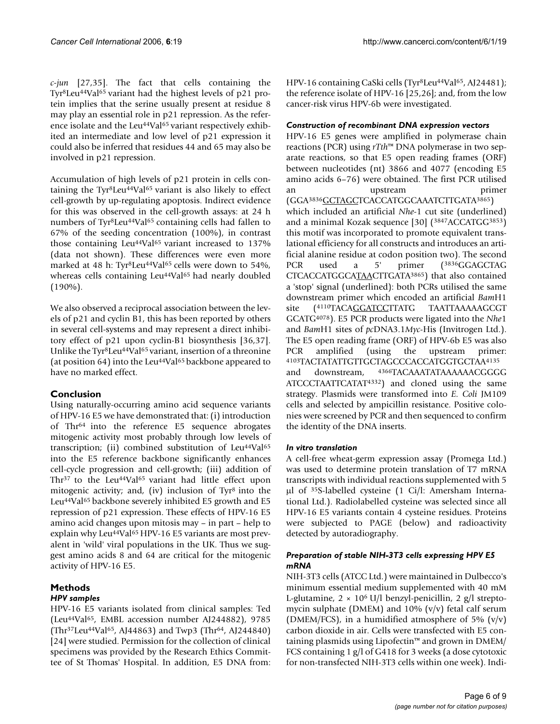*c-jun* [27,35]. The fact that cells containing the Tyr8Leu44Val65 variant had the highest levels of p21 protein implies that the serine usually present at residue 8 may play an essential role in p21 repression. As the reference isolate and the Leu<sup>44</sup>Val<sup>65</sup> variant respectively exhibited an intermediate and low level of p21 expression it could also be inferred that residues 44 and 65 may also be involved in p21 repression.

Accumulation of high levels of p21 protein in cells containing the Tyr8Leu44Val65 variant is also likely to effect cell-growth by up-regulating apoptosis. Indirect evidence for this was observed in the cell-growth assays: at 24 h numbers of Tyr8Leu44Val65 containing cells had fallen to 67% of the seeding concentration (100%), in contrast those containing Leu<sup>44</sup>Val<sup>65</sup> variant increased to 137% (data not shown). These differences were even more marked at 48 h: Tyr<sup>8</sup>Leu<sup>44</sup>Val<sup>65</sup> cells were down to 54%, whereas cells containing Leu<sup>44</sup>Val<sup>65</sup> had nearly doubled  $(190\%)$ .

We also observed a reciprocal association between the levels of p21 and cyclin B1, this has been reported by others in several cell-systems and may represent a direct inhibitory effect of p21 upon cyclin-B1 biosynthesis [36,37]. Unlike the Tyr<sup>8</sup>Leu<sup>44</sup>Val<sup>65</sup> variant, insertion of a threonine (at position 64) into the Leu<sup>44</sup>Val<sup>65</sup> backbone appeared to have no marked effect.

## **Conclusion**

Using naturally-occurring amino acid sequence variants of HPV-16 E5 we have demonstrated that: (i) introduction of Thr64 into the reference E5 sequence abrogates mitogenic activity most probably through low levels of transcription; (ii) combined substitution of  $Leu<sup>44</sup>Val<sup>65</sup>$ into the E5 reference backbone significantly enhances cell-cycle progression and cell-growth; (iii) addition of Thr<sup>37</sup> to the Leu<sup>44</sup>Val<sup>65</sup> variant had little effect upon mitogenic activity; and, (iv) inclusion of  $Tyr<sup>8</sup>$  into the Leu44Val65 backbone severely inhibited E5 growth and E5 repression of p21 expression. These effects of HPV-16 E5 amino acid changes upon mitosis may – in part – help to explain why Leu<sup>44</sup>Val<sup>65</sup> HPV-16 E5 variants are most prevalent in 'wild' viral populations in the UK. Thus we suggest amino acids 8 and 64 are critical for the mitogenic activity of HPV-16 E5.

#### **Methods** *HPV samples*

HPV-16 E5 variants isolated from clinical samples: Ted (Leu44Val65, EMBL accession number AJ244882), 9785 (Thr37Leu44Val65, AJ44863) and Twp3 (Thr64, AJ244840) [24] were studied. Permission for the collection of clinical specimens was provided by the Research Ethics Committee of St Thomas' Hospital. In addition, E5 DNA from: HPV-16 containing CaSki cells (Tyr8Leu44Val65, AJ24481); the reference isolate of HPV-16 [25,26]; and, from the low cancer-risk virus HPV-6b were investigated.

## *Construction of recombinant DNA expression vectors*

HPV-16 E5 genes were amplified in polymerase chain reactions (PCR) using *rTth*™ DNA polymerase in two separate reactions, so that E5 open reading frames (ORF) between nucleotides (nt) 3866 and 4077 (encoding E5 amino acids 6–76) were obtained. The first PCR utilised an upstream primer (GGA3836GCTAGCTCACCATGGCAAATCTTGATA3865) which included an artificial *Nhe*-1 cut site (underlined) and a minimal Kozak sequence [30] (3847ACCATGG3853) this motif was incorporated to promote equivalent translational efficiency for all constructs and introduces an artificial alanine residue at codon position two). The second PCR used a 5' primer (<sup>3836</sup>GGAGCTAG CTCACCATGGCATAACTTGATA3865) that also contained a 'stop' signal (underlined): both PCRs utilised the same downstream primer which encoded an artificial *Bam*H1 site (4110TACAGGATCCTTATG TAATTAAAAAGCGT GCATG4078). E5 PCR products were ligated into the *Nhe*1 and *Bam*H1 sites of *pc*DNA3.1*Myc*-His (Invitrogen Ltd.). The E5 open reading frame (ORF) of HPV-6b E5 was also PCR amplified (using the upstream primer: 4103TACTATATTGTTGCTAGCCCACCATGGTGCTAA4135 and downstream, 4366TACAAATATAAAAAACGGGG ATCCCTAATTCATAT4332) and cloned using the same strategy. Plasmids were transformed into *E. Coli* JM109 cells and selected by ampicillin resistance. Positive colonies were screened by PCR and then sequenced to confirm the identity of the DNA inserts.

## *In vitro translation*

A cell-free wheat-germ expression assay (Promega Ltd.) was used to determine protein translation of T7 mRNA transcripts with individual reactions supplemented with 5 μl of 35S-labelled cysteine (1 Ci/l: Amersham International Ltd.). Radiolabelled cysteine was selected since all HPV-16 E5 variants contain 4 cysteine residues. Proteins were subjected to PAGE (below) and radioactivity detected by autoradiography.

## *Preparation of stable NIH-3T3 cells expressing HPV E5 mRNA*

NIH-3T3 cells (ATCC Ltd.) were maintained in Dulbecco's minimum essential medium supplemented with 40 mM L-glutamine, 2 × 106 U/l benzyl-penicillin, 2 g/l streptomycin sulphate (DMEM) and  $10\%$  (v/v) fetal calf serum (DMEM/FCS), in a humidified atmosphere of 5%  $(v/v)$ carbon dioxide in air. Cells were transfected with E5 containing plasmids using Lipofectin™ and grown in DMEM/ FCS containing 1 g/l of G418 for 3 weeks (a dose cytotoxic for non-transfected NIH-3T3 cells within one week). Indi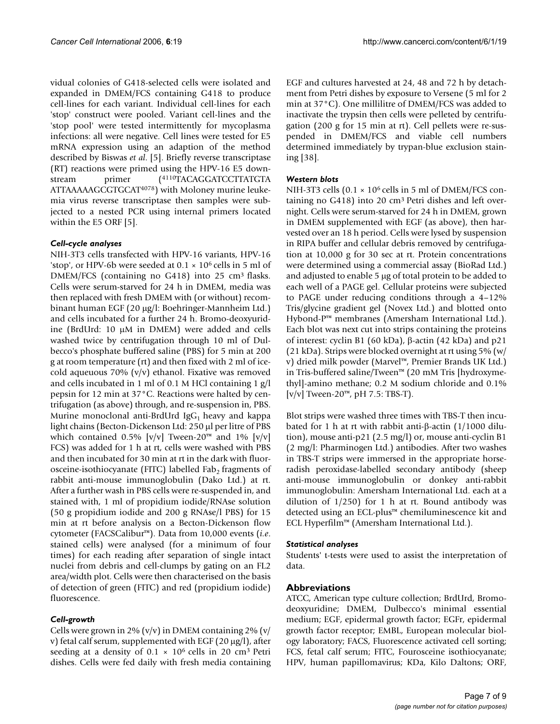vidual colonies of G418-selected cells were isolated and expanded in DMEM/FCS containing G418 to produce cell-lines for each variant. Individual cell-lines for each 'stop' construct were pooled. Variant cell-lines and the 'stop pool' were tested intermittently for mycoplasma infections: all were negative. Cell lines were tested for E5 mRNA expression using an adaption of the method described by Biswas *et al*. [5]. Briefly reverse transcriptase (RT) reactions were primed using the HPV-16 E5 downstream primer (4110TACAGGATCCTTATGTA ATTAAAAAGCGTGCAT4078) with Moloney murine leukemia virus reverse transcriptase then samples were subjected to a nested PCR using internal primers located within the E5 ORF [5].

## *Cell-cycle analyses*

NIH-3T3 cells transfected with HPV-16 variants, HPV-16 'stop', or HPV-6b were seeded at  $0.1 \times 10^6$  cells in 5 ml of DMEM/FCS (containing no G418) into 25 cm<sup>3</sup> flasks. Cells were serum-starved for 24 h in DMEM, media was then replaced with fresh DMEM with (or without) recombinant human EGF (20 μg/l: Boehringer-Mannheim Ltd.) and cells incubated for a further 24 h. Bromo-deoxyuridine (BrdUrd: 10 μM in DMEM) were added and cells washed twice by centrifugation through 10 ml of Dulbecco's phosphate buffered saline (PBS) for 5 min at 200 g at room temperature (rt) and then fixed with 2 ml of icecold aqueuous 70% (v/v) ethanol. Fixative was removed and cells incubated in 1 ml of 0.1 M HCl containing 1 g/l pepsin for 12 min at 37°C. Reactions were halted by centrifugation (as above) through, and re-suspension in, PBS. Murine monoclonal anti-BrdUrd Ig $G_1$  heavy and kappa light chains (Becton-Dickenson Ltd: 250 μl per litre of PBS which contained 0.5% [v/v] Tween-20™ and 1% [v/v] FCS) was added for 1 h at rt, cells were washed with PBS and then incubated for 30 min at rt in the dark with fluorosceine-isothiocyanate (FITC) labelled Fab<sub>2</sub> fragments of rabbit anti-mouse immunoglobulin (Dako Ltd.) at rt. After a further wash in PBS cells were re-suspended in, and stained with, 1 ml of propidium iodide/RNAse solution (50 g propidium iodide and 200 g RNAse/l PBS) for 15 min at rt before analysis on a Becton-Dickenson flow cytometer (FACSCalibur™). Data from 10,000 events (*i.e*. stained cells) were analysed (for a minimum of four times) for each reading after separation of single intact nuclei from debris and cell-clumps by gating on an FL2 area/width plot. Cells were then characterised on the basis of detection of green (FITC) and red (propidium iodide) fluorescence.

## *Cell-growth*

Cells were grown in 2% (v/v) in DMEM containing 2% (v/ v) fetal calf serum, supplemented with EGF (20 μg/l), after seeding at a density of  $0.1 \times 10^6$  cells in 20 cm<sup>3</sup> Petri dishes. Cells were fed daily with fresh media containing EGF and cultures harvested at 24, 48 and 72 h by detachment from Petri dishes by exposure to Versene (5 ml for 2 min at 37°C). One millilitre of DMEM/FCS was added to inactivate the trypsin then cells were pelleted by centrifugation (200 g for 15 min at rt). Cell pellets were re-suspended in DMEM/FCS and viable cell numbers determined immediately by trypan-blue exclusion staining [38].

## *Western blots*

NIH-3T3 cells  $(0.1 \times 10^6 \text{ cells in } 5 \text{ ml of DMEM/FCS con$ taining no  $G418$ ) into 20 cm<sup>3</sup> Petri dishes and left overnight. Cells were serum-starved for 24 h in DMEM, grown in DMEM supplemented with EGF (as above), then harvested over an 18 h period. Cells were lysed by suspension in RIPA buffer and cellular debris removed by centrifugation at 10,000 g for 30 sec at rt. Protein concentrations were determined using a commercial assay (BioRad Ltd.) and adjusted to enable 5 μg of total protein to be added to each well of a PAGE gel. Cellular proteins were subjected to PAGE under reducing conditions through a 4–12% Tris/glycine gradient gel (Novex Ltd.) and blotted onto Hybond-P™ membranes (Amersham International Ltd.). Each blot was next cut into strips containing the proteins of interest: cyclin B1 (60 kDa), β-actin (42 kDa) and p21 (21 kDa). Strips were blocked overnight at rt using 5% (w/ v) dried milk powder (Marvel™, Premier Brands UK Ltd.) in Tris-buffered saline/Tween™ (20 mM Tris [hydroxymethyl]-amino methane; 0.2 M sodium chloride and 0.1% [v/v] Tween-20™, pH 7.5: TBS-T).

Blot strips were washed three times with TBS-T then incubated for 1 h at rt with rabbit anti-β-actin (1/1000 dilution), mouse anti-p21 (2.5 mg/l) or, mouse anti-cyclin B1 (2 mg/l: Pharminogen Ltd.) antibodies. After two washes in TBS-T strips were immersed in the appropriate horseradish peroxidase-labelled secondary antibody (sheep anti-mouse immunoglobulin or donkey anti-rabbit immunoglobulin: Amersham International Ltd. each at a dilution of  $1/250$ ) for 1 h at rt. Bound antibody was detected using an ECL-plus™ chemiluminescence kit and ECL Hyperfilm™ (Amersham International Ltd.).

## *Statistical analyses*

Students' t-tests were used to assist the interpretation of data.

## **Abbreviations**

ATCC, American type culture collection; BrdUrd, Bromodeoxyuridine; DMEM, Dulbecco's minimal essential medium; EGF, epidermal growth factor; EGFr, epidermal growth factor receptor; EMBL, European molecular biology laboratory; FACS, Fluorescence activated cell sorting; FCS, fetal calf serum; FITC, Fourosceine isothiocyanate; HPV, human papillomavirus; KDa, Kilo Daltons; ORF,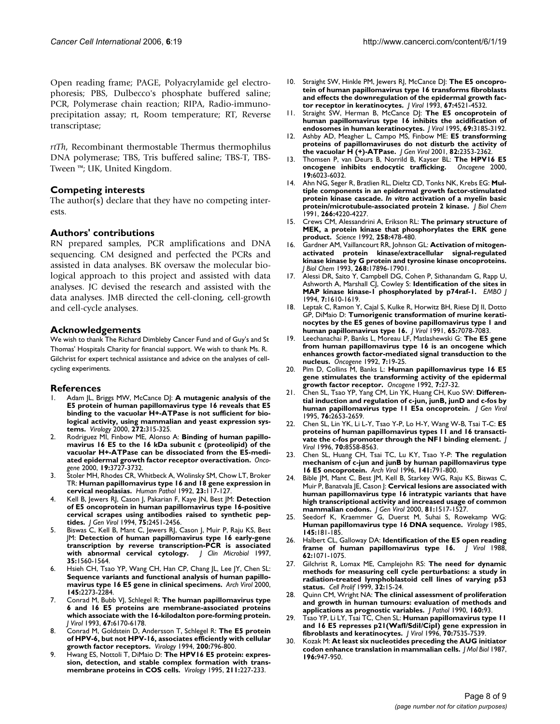Open reading frame; PAGE, Polyacrylamide gel electrophoresis; PBS, Dulbecco's phosphate buffered saline; PCR, Polymerase chain reaction; RIPA, Radio-immunoprecipitation assay; rt, Room temperature; RT, Reverse transcriptase;

*rtTh*, Recombinant thermostable Thermus thermophilus DNA polymerase; TBS, Tris buffered saline; TBS-T, TBS-Tween ™; UK, United Kingdom.

## **Competing interests**

The author(s) declare that they have no competing interests.

## **Authors' contributions**

RN prepared samples, PCR amplifications and DNA sequencing. CM designed and perfected the PCRs and assisted in data analyses. BK oversaw the molecular biological approach to this project and assisted with data analyses. JC devised the research and assisted with the data analyses. JMB directed the cell-cloning, cell-growth and cell-cycle analyses.

## **Acknowledgements**

We wish to thank The Richard Dimbleby Cancer Fund and of Guy's and St Thomas' Hospitals Charity for financial support. We wish to thank Ms. R. Gilchrist for expert technical assistance and advice on the analyses of cellcycling experiments.

## **References**

- 1. Adam JL, Briggs MW, McCance DJ: **[A mutagenic analysis of the](http://www.ncbi.nlm.nih.gov/entrez/query.fcgi?cmd=Retrieve&db=PubMed&dopt=Abstract&list_uids=10873774) [E5 protein of human papillomavirus type 16 reveals that E5](http://www.ncbi.nlm.nih.gov/entrez/query.fcgi?cmd=Retrieve&db=PubMed&dopt=Abstract&list_uids=10873774) binding to the vacuolar H+-ATPase is not sufficient for biological activity, using mammalian and yeast expression sys[tems.](http://www.ncbi.nlm.nih.gov/entrez/query.fcgi?cmd=Retrieve&db=PubMed&dopt=Abstract&list_uids=10873774)** *Virology* 2000, **272:**315-325.
- 2. Rodriguez MI, Finbow ME, Alonso A: **[Binding of human papillo](http://www.ncbi.nlm.nih.gov/entrez/query.fcgi?cmd=Retrieve&db=PubMed&dopt=Abstract&list_uids=10949926)[mavirus 16 E5 to the 16 kDa subunit c \(proteolipid\) of the](http://www.ncbi.nlm.nih.gov/entrez/query.fcgi?cmd=Retrieve&db=PubMed&dopt=Abstract&list_uids=10949926) vacuolar H+-ATPase can be dissociated from the E5-medi[ated epidermal growth factor receptor overactivation.](http://www.ncbi.nlm.nih.gov/entrez/query.fcgi?cmd=Retrieve&db=PubMed&dopt=Abstract&list_uids=10949926)** *Oncogene* 2000, **19:**3727-3732.
- 3. Stoler MH, Rhodes CR, Whitbeck A, Wolinsky SM, Chow LT, Broker TR: **Human papillomavirus type 16 and 18 gene expression in cervical neoplasias.** *Human Pathol* 1992, **23:**117-127.
- 4. Kell B, Jewers RJ, Cason J, Pakarian F, Kaye JN, Best JM: **[Detection](http://www.ncbi.nlm.nih.gov/entrez/query.fcgi?cmd=Retrieve&db=PubMed&dopt=Abstract&list_uids=8077947) [of E5 oncoprotein in human papillomavirus type 16-positive](http://www.ncbi.nlm.nih.gov/entrez/query.fcgi?cmd=Retrieve&db=PubMed&dopt=Abstract&list_uids=8077947) cervical scrapes using antibodies raised to synthetic pep[tides.](http://www.ncbi.nlm.nih.gov/entrez/query.fcgi?cmd=Retrieve&db=PubMed&dopt=Abstract&list_uids=8077947)** *J Gen Virol* 1994, **75:**2451-2456.
- 5. Biswas C, Kell B, Mant C, Jewers RJ, Cason J, Muir P, Raju KS, Best JM: **[Detection of human papillomavirus type 16 early-gene](http://www.ncbi.nlm.nih.gov/entrez/query.fcgi?cmd=Retrieve&db=PubMed&dopt=Abstract&list_uids=9163482) [transcription by reverse transcription-PCR is associated](http://www.ncbi.nlm.nih.gov/entrez/query.fcgi?cmd=Retrieve&db=PubMed&dopt=Abstract&list_uids=9163482)** [with abnormal cervical cytology.](http://www.ncbi.nlm.nih.gov/entrez/query.fcgi?cmd=Retrieve&db=PubMed&dopt=Abstract&list_uids=9163482) **35:**1560-1564.
- Hsieh CH, Tsao YP, Wang CH, Han CP, Chang JL, Lee JY, Chen SL: **[Sequence variants and functional analysis of human papillo](http://www.ncbi.nlm.nih.gov/entrez/query.fcgi?cmd=Retrieve&db=PubMed&dopt=Abstract&list_uids=11205117)[mavirus type 16 E5 gene in clinical specimens.](http://www.ncbi.nlm.nih.gov/entrez/query.fcgi?cmd=Retrieve&db=PubMed&dopt=Abstract&list_uids=11205117)** *Arch Virol* 2000, **145:**2273-2284.
- 7. Conrad M, Bubb VJ, Schlegel R: **[The human papillomavirus type](http://www.ncbi.nlm.nih.gov/entrez/query.fcgi?cmd=Retrieve&db=PubMed&dopt=Abstract&list_uids=7690419) [6 and 16 E5 proteins are membrane-associated proteins](http://www.ncbi.nlm.nih.gov/entrez/query.fcgi?cmd=Retrieve&db=PubMed&dopt=Abstract&list_uids=7690419) which associate with the 16-kilodalton pore-forming protein.** *J Virol* 1993, **67:**6170-6178.
- 8. Conrad M, Goldstein D, Andersson T, Schlegel R: **[The E5 protein](http://www.ncbi.nlm.nih.gov/entrez/query.fcgi?cmd=Retrieve&db=PubMed&dopt=Abstract&list_uids=7909971) [of HPV-6, but not HPV-16, associates efficiently with cellular](http://www.ncbi.nlm.nih.gov/entrez/query.fcgi?cmd=Retrieve&db=PubMed&dopt=Abstract&list_uids=7909971) [growth factor receptors.](http://www.ncbi.nlm.nih.gov/entrez/query.fcgi?cmd=Retrieve&db=PubMed&dopt=Abstract&list_uids=7909971)** *Virology* 1994, **200:**796-800.
- 9. Hwang ES, Nottoli T, DiMaio D: **[The HPV16 E5 protein: expres](http://www.ncbi.nlm.nih.gov/entrez/query.fcgi?cmd=Retrieve&db=PubMed&dopt=Abstract&list_uids=7645215)[sion, detection, and stable complex formation with trans](http://www.ncbi.nlm.nih.gov/entrez/query.fcgi?cmd=Retrieve&db=PubMed&dopt=Abstract&list_uids=7645215)[membrane proteins in COS cells.](http://www.ncbi.nlm.nih.gov/entrez/query.fcgi?cmd=Retrieve&db=PubMed&dopt=Abstract&list_uids=7645215)** *Virology* 1995, **211:**227-233.
- 10. Straight SW, Hinkle PM, Jewers RJ, McCance DJ: **[The E5 oncopro](http://www.ncbi.nlm.nih.gov/entrez/query.fcgi?cmd=Retrieve&db=PubMed&dopt=Abstract&list_uids=8392596)[tein of human papillomavirus type 16 transforms fibroblasts](http://www.ncbi.nlm.nih.gov/entrez/query.fcgi?cmd=Retrieve&db=PubMed&dopt=Abstract&list_uids=8392596) and effects the downregulation of the epidermal growth fac[tor receptor in keratinocytes.](http://www.ncbi.nlm.nih.gov/entrez/query.fcgi?cmd=Retrieve&db=PubMed&dopt=Abstract&list_uids=8392596)** *J Virol* 1993, **67:**4521-4532.
- 11. Straight SW, Herman B, McCance DJ: **[The E5 oncoprotein of](http://www.ncbi.nlm.nih.gov/entrez/query.fcgi?cmd=Retrieve&db=PubMed&dopt=Abstract&list_uids=7707548) [human papillomavirus type 16 inhibits the acidification of](http://www.ncbi.nlm.nih.gov/entrez/query.fcgi?cmd=Retrieve&db=PubMed&dopt=Abstract&list_uids=7707548) [endosomes in human keratinocytes.](http://www.ncbi.nlm.nih.gov/entrez/query.fcgi?cmd=Retrieve&db=PubMed&dopt=Abstract&list_uids=7707548)** *J Virol* 1995, **69:**3185-3192.
- 12. Ashby AD, Meagher L, Campo MS, Finbow ME: **[E5 transforming](http://www.ncbi.nlm.nih.gov/entrez/query.fcgi?cmd=Retrieve&db=PubMed&dopt=Abstract&list_uids=11562529) [proteins of papillomaviruses do not disturb the activity of](http://www.ncbi.nlm.nih.gov/entrez/query.fcgi?cmd=Retrieve&db=PubMed&dopt=Abstract&list_uids=11562529) [the vacuolar H \(+\)-ATPase.](http://www.ncbi.nlm.nih.gov/entrez/query.fcgi?cmd=Retrieve&db=PubMed&dopt=Abstract&list_uids=11562529)** *J Gen Virol* 2001, **82:**2353-2362.
- 13. Thomsen P, van Deurs B, Norrild B, Kayser BL: **[The HPV16 E5](http://www.ncbi.nlm.nih.gov/entrez/query.fcgi?cmd=Retrieve&db=PubMed&dopt=Abstract&list_uids=11146554) [oncogene inhibits endocytic trafficking.](http://www.ncbi.nlm.nih.gov/entrez/query.fcgi?cmd=Retrieve&db=PubMed&dopt=Abstract&list_uids=11146554)** *Oncogene* 2000, **19:**6023-6032.
- <span id="page-7-0"></span>14. Ahn NG, Seger R, Bratlien RL, Dieltz CD, Tonks NK, Krebs EG: **Multiple components in an epidermal growth factor-stimulated protein kinase cascade.** *In vitro* **[activation of a myelin basic](http://www.ncbi.nlm.nih.gov/entrez/query.fcgi?cmd=Retrieve&db=PubMed&dopt=Abstract&list_uids=1705548) [protein/microtubule-associated protein 2 kinase.](http://www.ncbi.nlm.nih.gov/entrez/query.fcgi?cmd=Retrieve&db=PubMed&dopt=Abstract&list_uids=1705548)** *J Biol Chem* 1991, **266:**4220-4227.
- 15. Crews CM, Alessandrini A, Erikson RL: **[The primary structure of](http://www.ncbi.nlm.nih.gov/entrez/query.fcgi?cmd=Retrieve&db=PubMed&dopt=Abstract&list_uids=1411546) [MEK, a protein kinase that phosphorylates the ERK gene](http://www.ncbi.nlm.nih.gov/entrez/query.fcgi?cmd=Retrieve&db=PubMed&dopt=Abstract&list_uids=1411546) [product.](http://www.ncbi.nlm.nih.gov/entrez/query.fcgi?cmd=Retrieve&db=PubMed&dopt=Abstract&list_uids=1411546)** *Science* 1992, **258:**478-480.
- 16. Gardner AM, Vaillancourt RR, Johnson GL: **[Activation of mitogen](http://www.ncbi.nlm.nih.gov/entrez/query.fcgi?cmd=Retrieve&db=PubMed&dopt=Abstract&list_uids=8394352)[activated protein kinase/extracellular signal-regulated](http://www.ncbi.nlm.nih.gov/entrez/query.fcgi?cmd=Retrieve&db=PubMed&dopt=Abstract&list_uids=8394352) kinase kinase by G protein and tyrosine kinase oncoproteins.** *J Biol Chem* 1993, **268:**17896-17901.
- 17. Alessi DR, Saito Y, Campbell DG, Cohen P, Sithanandam G, Rapp U, Ashworth A, Marshall CJ, Cowley S: **Identification of the sites in MAP kinase kinase-1 phosphorylated by p74raf-1.** *EMBO J* 1994, **7:**1610-1619.
- 18. Leptak C, Ramon Y, Cajal S, Kulke R, Horwitz BH, Riese DJ II, Dotto GP, DiMaio D: **[Tumorigenic transformation of murine kerati](http://www.ncbi.nlm.nih.gov/entrez/query.fcgi?cmd=Retrieve&db=PubMed&dopt=Abstract&list_uids=1658398)[nocytes by the E5 genes of bovine papillomavirus type 1 and](http://www.ncbi.nlm.nih.gov/entrez/query.fcgi?cmd=Retrieve&db=PubMed&dopt=Abstract&list_uids=1658398) [human papillomavirus type 16.](http://www.ncbi.nlm.nih.gov/entrez/query.fcgi?cmd=Retrieve&db=PubMed&dopt=Abstract&list_uids=1658398)** *J Virol* 1991, **65:**7078-7083.
- 19. Leechanachai P, Banks L, Moreau LF, Matlashewski G: **[The E5 gene](http://www.ncbi.nlm.nih.gov/entrez/query.fcgi?cmd=Retrieve&db=PubMed&dopt=Abstract&list_uids=1311062) [from human papillomavirus type 16 is an oncogene which](http://www.ncbi.nlm.nih.gov/entrez/query.fcgi?cmd=Retrieve&db=PubMed&dopt=Abstract&list_uids=1311062) enhances growth factor-mediated signal transduction to the [nucleus.](http://www.ncbi.nlm.nih.gov/entrez/query.fcgi?cmd=Retrieve&db=PubMed&dopt=Abstract&list_uids=1311062)** *Oncogene* 1992, **7:**19-25.
- 20. Pim D, Collins M, Banks L: **[Human papillomavirus type 16 E5](http://www.ncbi.nlm.nih.gov/entrez/query.fcgi?cmd=Retrieve&db=PubMed&dopt=Abstract&list_uids=1311063) [gene stimulates the transforming activity of the epidermal](http://www.ncbi.nlm.nih.gov/entrez/query.fcgi?cmd=Retrieve&db=PubMed&dopt=Abstract&list_uids=1311063) [growth factor receptor.](http://www.ncbi.nlm.nih.gov/entrez/query.fcgi?cmd=Retrieve&db=PubMed&dopt=Abstract&list_uids=1311063)** *Oncogene* 1992, **7:**27-32.
- 21. Chen SL, Tsao YP, Yang CM, Lin YK, Huang CH, Kuo SW: **[Differen](http://www.ncbi.nlm.nih.gov/entrez/query.fcgi?cmd=Retrieve&db=PubMed&dopt=Abstract&list_uids=7595372)[tial induction and regulation of c-jun, junB, junD and c-fos by](http://www.ncbi.nlm.nih.gov/entrez/query.fcgi?cmd=Retrieve&db=PubMed&dopt=Abstract&list_uids=7595372) [human papillomavirus type 11 E5a oncoprotein.](http://www.ncbi.nlm.nih.gov/entrez/query.fcgi?cmd=Retrieve&db=PubMed&dopt=Abstract&list_uids=7595372)** *J Gen Virol* 1995, **76:**2653-2659.
- 22. Chen SL, Lin YK, Li L-Y, Tsao Y-P, Lo H-Y, Wang W-B, Tsai T-C: **[E5](http://www.ncbi.nlm.nih.gov/entrez/query.fcgi?cmd=Retrieve&db=PubMed&dopt=Abstract&list_uids=8970980) [proteins of human papillomavirus types 11 and 16 transacti](http://www.ncbi.nlm.nih.gov/entrez/query.fcgi?cmd=Retrieve&db=PubMed&dopt=Abstract&list_uids=8970980)[vate the c-fos promoter through the NF1 binding element.](http://www.ncbi.nlm.nih.gov/entrez/query.fcgi?cmd=Retrieve&db=PubMed&dopt=Abstract&list_uids=8970980)** *J Virol* 1996, **70:**8558-8563.
- 23. Chen SL, Huang CH, Tsai TC, Lu KY, Tsao Y-P: **[The regulation](http://www.ncbi.nlm.nih.gov/entrez/query.fcgi?cmd=Retrieve&db=PubMed&dopt=Abstract&list_uids=8678826) [mechanism of c-jun and junB by human papillomavirus type](http://www.ncbi.nlm.nih.gov/entrez/query.fcgi?cmd=Retrieve&db=PubMed&dopt=Abstract&list_uids=8678826) [16 E5 oncoprotein.](http://www.ncbi.nlm.nih.gov/entrez/query.fcgi?cmd=Retrieve&db=PubMed&dopt=Abstract&list_uids=8678826)** *Arch Virol* 1996, **141:**791-800.
- 24. Bible JM, Mant C, Best JM, Kell B, Starkey WG, Raju KS, Biswas C, Muir P, Banatvala JE, Cason J: **[Cervical lesions are associated with](http://www.ncbi.nlm.nih.gov/entrez/query.fcgi?cmd=Retrieve&db=PubMed&dopt=Abstract&list_uids=10811935) [human papillomavirus type 16 intratypic variants that have](http://www.ncbi.nlm.nih.gov/entrez/query.fcgi?cmd=Retrieve&db=PubMed&dopt=Abstract&list_uids=10811935) high transcriptional activity and increased usage of common [mammalian codons.](http://www.ncbi.nlm.nih.gov/entrez/query.fcgi?cmd=Retrieve&db=PubMed&dopt=Abstract&list_uids=10811935)** *J Gen Virol* 2000, **81:**1517-1527.
- 25. Seedorf K, Kraemmer G, Duerst M, Suhai S, Rowekamp WG: **[Human papillomavirus type 16 DNA sequence.](http://www.ncbi.nlm.nih.gov/entrez/query.fcgi?cmd=Retrieve&db=PubMed&dopt=Abstract&list_uids=2990099)** *Virology* 1985, **145:**181-185.
- 26. Halbert CL, Galloway DA: **[Identification of the E5 open reading](http://www.ncbi.nlm.nih.gov/entrez/query.fcgi?cmd=Retrieve&db=PubMed&dopt=Abstract&list_uids=2828656) [frame of human papillomavirus type 16.](http://www.ncbi.nlm.nih.gov/entrez/query.fcgi?cmd=Retrieve&db=PubMed&dopt=Abstract&list_uids=2828656)** *J Virol* 1988, **62:**1071-1075.
- 27. Gilchrist R, Lomax ME, Camplejohn RS: **[The need for dynamic](http://www.ncbi.nlm.nih.gov/entrez/query.fcgi?cmd=Retrieve&db=PubMed&dopt=Abstract&list_uids=10371300) [methods for measuring cell cycle perturbations: a study in](http://www.ncbi.nlm.nih.gov/entrez/query.fcgi?cmd=Retrieve&db=PubMed&dopt=Abstract&list_uids=10371300) radiation-treated lymphoblastoid cell lines of varying p53 [status.](http://www.ncbi.nlm.nih.gov/entrez/query.fcgi?cmd=Retrieve&db=PubMed&dopt=Abstract&list_uids=10371300)** *Cell Prolif* 1999, **32:**15-24.
- 28. Quinn CM, Wright NA: **[The clinical assessment of proliferation](http://www.ncbi.nlm.nih.gov/entrez/query.fcgi?cmd=Retrieve&db=PubMed&dopt=Abstract&list_uids=2181096) [and growth in human tumours: evaluation of methods and](http://www.ncbi.nlm.nih.gov/entrez/query.fcgi?cmd=Retrieve&db=PubMed&dopt=Abstract&list_uids=2181096) [applications as prognostic variables.](http://www.ncbi.nlm.nih.gov/entrez/query.fcgi?cmd=Retrieve&db=PubMed&dopt=Abstract&list_uids=2181096)** *J Pathol* 1990, **160:**93.
- 29. Tsao YP, Li LY, Tsai TC, Chen SL: **[Human papillomavirus type 11](http://www.ncbi.nlm.nih.gov/entrez/query.fcgi?cmd=Retrieve&db=PubMed&dopt=Abstract&list_uids=8892872) [and 16 E5 represses p21\(WafI/SdiI/CipI\) gene expression in](http://www.ncbi.nlm.nih.gov/entrez/query.fcgi?cmd=Retrieve&db=PubMed&dopt=Abstract&list_uids=8892872) [fibroblasts and keratinocytes.](http://www.ncbi.nlm.nih.gov/entrez/query.fcgi?cmd=Retrieve&db=PubMed&dopt=Abstract&list_uids=8892872)** *J Virol* 1996, **70:**7535-7539.
- 30. Kozak M: **[At least six nucleotides preceding the AUG initiator](http://www.ncbi.nlm.nih.gov/entrez/query.fcgi?cmd=Retrieve&db=PubMed&dopt=Abstract&list_uids=3681984) [codon enhance translation in mammalian cells.](http://www.ncbi.nlm.nih.gov/entrez/query.fcgi?cmd=Retrieve&db=PubMed&dopt=Abstract&list_uids=3681984)** *J Mol Biol* 1987, **196:**947-950.